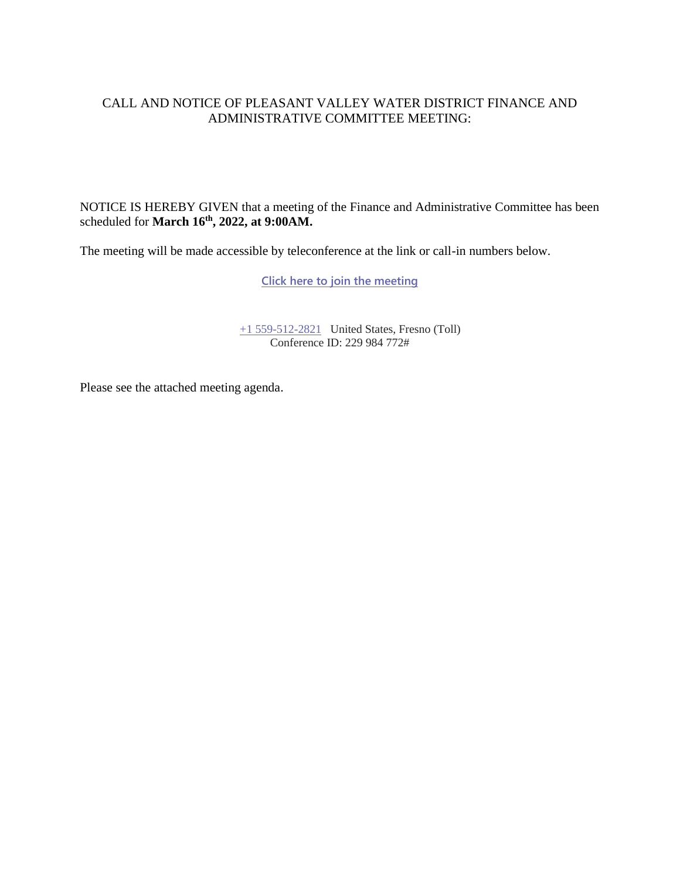### CALL AND NOTICE OF PLEASANT VALLEY WATER DISTRICT FINANCE AND ADMINISTRATIVE COMMITTEE MEETING:

NOTICE IS HEREBY GIVEN that a meeting of the Finance and Administrative Committee has been scheduled for **March 16 th , 2022, at 9:00AM.**

The meeting will be made accessible by teleconference at the link or call-in numbers below.

**[Click here to join the meeting](https://teams.microsoft.com/l/meetup-join/19%3ameeting_ZGY3YzE1YTktODJiMi00YzZkLWFjM2YtYjZkOTI3YTY3MzIy%40thread.v2/0?context=%7b%22Tid%22%3a%22a6cf659f-2360-4ff9-9e8d-045f48434ada%22%2c%22Oid%22%3a%225aeb912a-1b48-4d0b-94f5-be7893f4a09c%22%7d)**

[+1 559-512-2821](tel:+15595122821,,85232084# ) United States, Fresno (Toll) Conference ID: 229 984 772#

Please see the attached meeting agenda.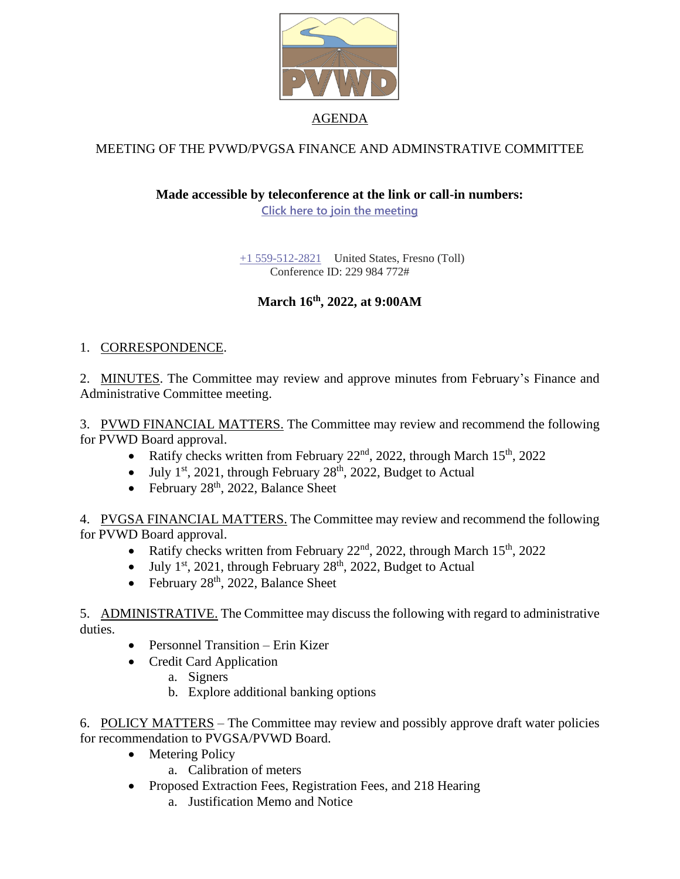

## MEETING OF THE PVWD/PVGSA FINANCE AND ADMINSTRATIVE COMMITTEE

### **Made accessible by teleconference at the link or call-in numbers:**

**[Click here to join the meeting](https://teams.microsoft.com/l/meetup-join/19%3ameeting_ZGY3YzE1YTktODJiMi00YzZkLWFjM2YtYjZkOTI3YTY3MzIy%40thread.v2/0?context=%7b%22Tid%22%3a%22a6cf659f-2360-4ff9-9e8d-045f48434ada%22%2c%22Oid%22%3a%225aeb912a-1b48-4d0b-94f5-be7893f4a09c%22%7d)**

[+1 559-512-2821](tel:+15595122821,,85232084# ) United States, Fresno (Toll) Conference ID: 229 984 772#

# **March 16th , 2022, at 9:00AM**

### 1. CORRESPONDENCE.

2. MINUTES. The Committee may review and approve minutes from February's Finance and Administrative Committee meeting.

3. PVWD FINANCIAL MATTERS. The Committee may review and recommend the following for PVWD Board approval.

- Ratify checks written from February  $22<sup>nd</sup>$ ,  $2022$ , through March  $15<sup>th</sup>$ ,  $2022$
- $\bullet$  July 1<sup>st</sup>, 2021, through February 28<sup>th</sup>, 2022, Budget to Actual
- February  $28<sup>th</sup>$ , 2022, Balance Sheet

4. PVGSA FINANCIAL MATTERS. The Committee may review and recommend the following for PVWD Board approval.

- Ratify checks written from February  $22<sup>nd</sup>$ , 2022, through March  $15<sup>th</sup>$ , 2022
- July 1<sup>st</sup>, 2021, through February 28<sup>th</sup>, 2022, Budget to Actual
- February  $28<sup>th</sup>$ , 2022, Balance Sheet

5. ADMINISTRATIVE. The Committee may discuss the following with regard to administrative duties.

- Personnel Transition Erin Kizer
- Credit Card Application
	- a. Signers
	- b. Explore additional banking options

6. POLICY MATTERS – The Committee may review and possibly approve draft water policies for recommendation to PVGSA/PVWD Board.

- Metering Policy
	- a. Calibration of meters
- Proposed Extraction Fees, Registration Fees, and 218 Hearing
	- a. Justification Memo and Notice